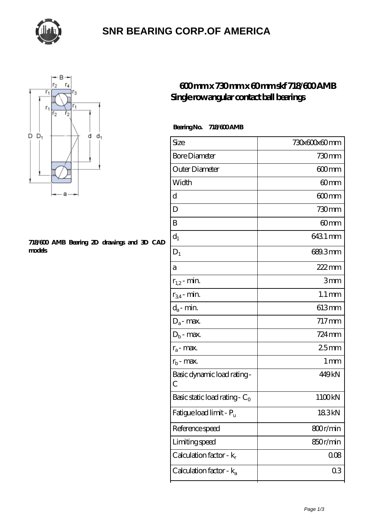

## **[SNR BEARING CORP.OF AMERICA](https://thebestofquebec.com)**



#### **[718/600 AMB Bearing 2D drawings and 3D CAD](https://thebestofquebec.com/pic-64978762.html) [models](https://thebestofquebec.com/pic-64978762.html)**

### **[600 mm x 730 mm x 60 mm skf 718/600 AMB](https://thebestofquebec.com/am-64978762-skf-718-600-amb-single-row-angular-contact-ball-bearings.html) [Single row angular contact ball bearings](https://thebestofquebec.com/am-64978762-skf-718-600-amb-single-row-angular-contact-ball-bearings.html)**

Bearing No. 718/600 AMB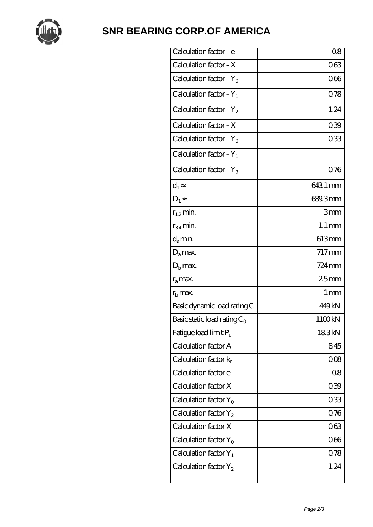

# **[SNR BEARING CORP.OF AMERICA](https://thebestofquebec.com)**

| Calculation factor - e         | 08                  |
|--------------------------------|---------------------|
| Calculation factor - X         | 063                 |
| Calculation factor - $Y_0$     | 066                 |
| Calculation factor - $Y_1$     | 0.78                |
| Calculation factor - $Y_2$     | 1.24                |
| Calculation factor - X         | 039                 |
| Calculation factor - $Y_0$     | 033                 |
| Calculation factor - $Y_1$     |                     |
| Calculation factor - $Y_2$     | 0.76                |
| $d_1$                          | 6431 mm             |
| $D_1$                          | 689.3mm             |
| $r_{1,2}$ min.                 | 3mm                 |
| $r_{34}$ min.                  | $1.1 \,\mathrm{mm}$ |
| $d_{a}$ min.                   | 613mm               |
| $D_a$ max.                     | $717$ mm            |
| $D_{\rm b}$ max.               | $724 \,\mathrm{mm}$ |
| $r_a$ max.                     | 25mm                |
| $r_{\rm b}$ max.               | 1 <sub>mm</sub>     |
| Basic dynamic load rating C    | 449kN               |
| Basic static load rating $C_0$ | 1100kN              |
| Fatigue load limit $P_u$       | 183kN               |
| Calculation factor A           | 845                 |
| Calculation factor $k_r$       | 008                 |
| Calculation factor e           | 08                  |
| Calculation factor X           | 039                 |
| Calculation factor $Y_0$       | 033                 |
| Calculation factor $Y_2$       | 0.76                |
| Calculation factor X           | 063                 |
| Calculation factor $Y_0$       | 066                 |
| Calculation factor $Y_1$       | 0.78                |
| Calculation factor $Y_2$       | 1.24                |
|                                |                     |